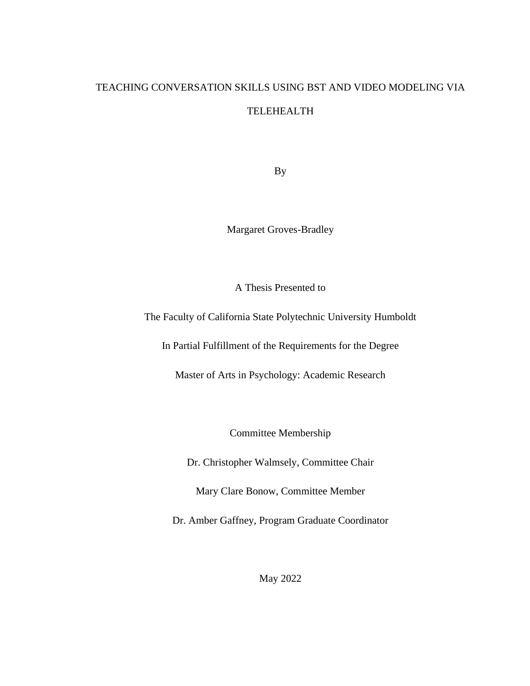# TEACHING CONVERSATION SKILLS USING BST AND VIDEO MODELING VIA TELEHEALTH

By

Margaret Groves-Bradley

A Thesis Presented to

The Faculty of California State Polytechnic University Humboldt

In Partial Fulfillment of the Requirements for the Degree

Master of Arts in Psychology: Academic Research

Committee Membership

Dr. Christopher Walmsely, Committee Chair

Mary Clare Bonow, Committee Member

Dr. Amber Gaffney, Program Graduate Coordinator

May 2022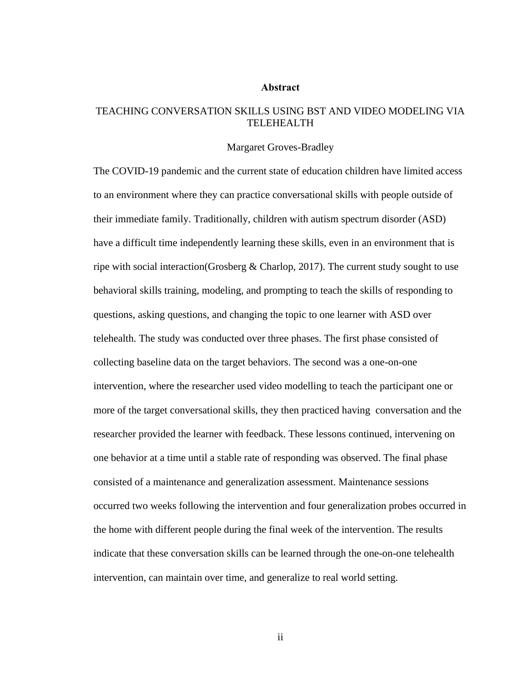#### **Abstract**

## <span id="page-1-0"></span>TEACHING CONVERSATION SKILLS USING BST AND VIDEO MODELING VIA TELEHEALTH

#### Margaret Groves-Bradley

The COVID-19 pandemic and the current state of education children have limited access to an environment where they can practice conversational skills with people outside of their immediate family. Traditionally, children with autism spectrum disorder (ASD) have a difficult time independently learning these skills, even in an environment that is ripe with social interaction(Grosberg & Charlop, 2017). The current study sought to use behavioral skills training, modeling, and prompting to teach the skills of responding to questions, asking questions, and changing the topic to one learner with ASD over telehealth. The study was conducted over three phases. The first phase consisted of collecting baseline data on the target behaviors. The second was a one-on-one intervention, where the researcher used video modelling to teach the participant one or more of the target conversational skills, they then practiced having conversation and the researcher provided the learner with feedback. These lessons continued, intervening on one behavior at a time until a stable rate of responding was observed. The final phase consisted of a maintenance and generalization assessment. Maintenance sessions occurred two weeks following the intervention and four generalization probes occurred in the home with different people during the final week of the intervention. The results indicate that these conversation skills can be learned through the one-on-one telehealth intervention, can maintain over time, and generalize to real world setting.

ii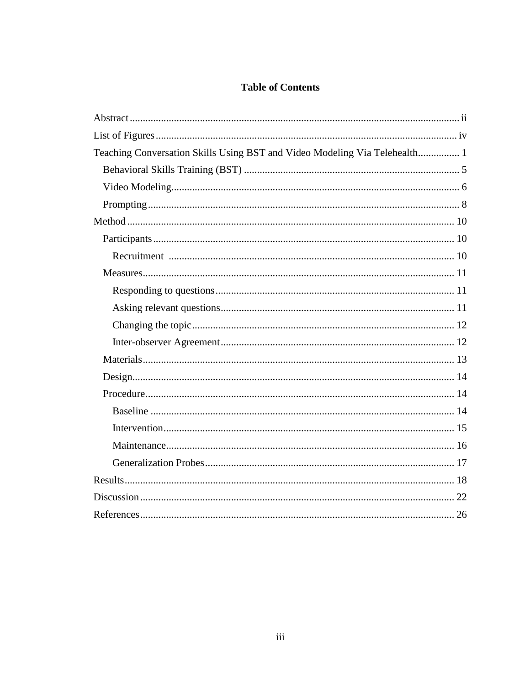## **Table of Contents**

<span id="page-2-0"></span>

| Teaching Conversation Skills Using BST and Video Modeling Via Telehealth 1 |  |
|----------------------------------------------------------------------------|--|
|                                                                            |  |
|                                                                            |  |
|                                                                            |  |
|                                                                            |  |
|                                                                            |  |
|                                                                            |  |
|                                                                            |  |
|                                                                            |  |
|                                                                            |  |
|                                                                            |  |
|                                                                            |  |
|                                                                            |  |
|                                                                            |  |
|                                                                            |  |
|                                                                            |  |
|                                                                            |  |
|                                                                            |  |
|                                                                            |  |
|                                                                            |  |
|                                                                            |  |
|                                                                            |  |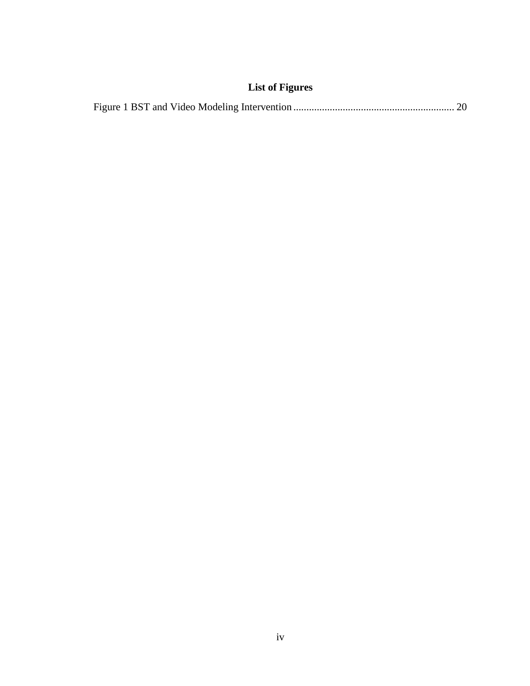## **List of Figures**

|--|--|--|--|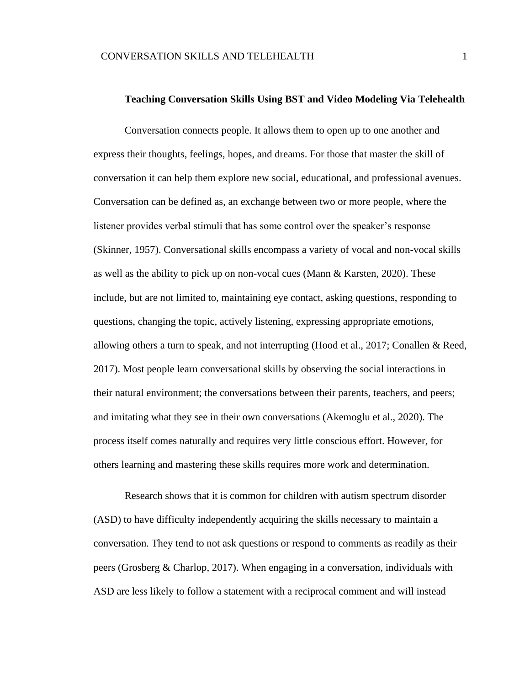#### **Teaching Conversation Skills Using BST and Video Modeling Via Telehealth**

<span id="page-4-0"></span>Conversation connects people. It allows them to open up to one another and express their thoughts, feelings, hopes, and dreams. For those that master the skill of conversation it can help them explore new social, educational, and professional avenues. Conversation can be defined as, an exchange between two or more people, where the listener provides verbal stimuli that has some control over the speaker's response (Skinner, 1957). Conversational skills encompass a variety of vocal and non-vocal skills as well as the ability to pick up on non-vocal cues (Mann & Karsten, 2020). These include, but are not limited to, maintaining eye contact, asking questions, responding to questions, changing the topic, actively listening, expressing appropriate emotions, allowing others a turn to speak, and not interrupting (Hood et al., 2017; Conallen & Reed, 2017). Most people learn conversational skills by observing the social interactions in their natural environment; the conversations between their parents, teachers, and peers; and imitating what they see in their own conversations (Akemoglu et al., 2020). The process itself comes naturally and requires very little conscious effort. However, for others learning and mastering these skills requires more work and determination.

Research shows that it is common for children with autism spectrum disorder (ASD) to have difficulty independently acquiring the skills necessary to maintain a conversation. They tend to not ask questions or respond to comments as readily as their peers (Grosberg & Charlop, 2017). When engaging in a conversation, individuals with ASD are less likely to follow a statement with a reciprocal comment and will instead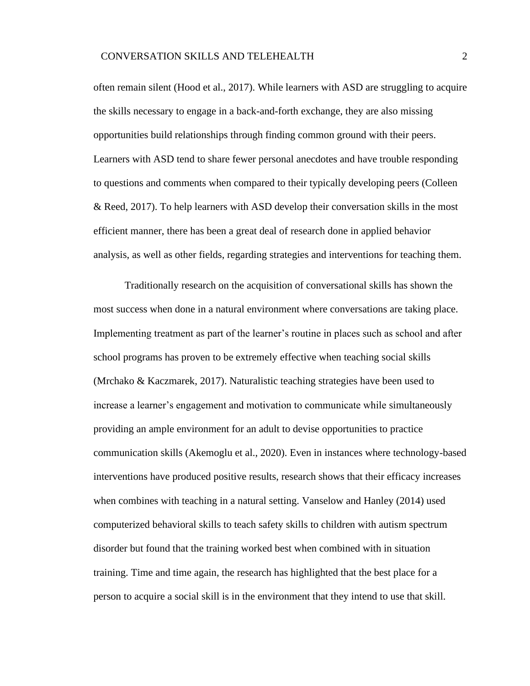often remain silent (Hood et al., 2017). While learners with ASD are struggling to acquire the skills necessary to engage in a back-and-forth exchange, they are also missing opportunities build relationships through finding common ground with their peers. Learners with ASD tend to share fewer personal anecdotes and have trouble responding to questions and comments when compared to their typically developing peers (Colleen & Reed, 2017). To help learners with ASD develop their conversation skills in the most efficient manner, there has been a great deal of research done in applied behavior analysis, as well as other fields, regarding strategies and interventions for teaching them.

Traditionally research on the acquisition of conversational skills has shown the most success when done in a natural environment where conversations are taking place. Implementing treatment as part of the learner's routine in places such as school and after school programs has proven to be extremely effective when teaching social skills (Mrchako & Kaczmarek, 2017). Naturalistic teaching strategies have been used to increase a learner's engagement and motivation to communicate while simultaneously providing an ample environment for an adult to devise opportunities to practice communication skills (Akemoglu et al., 2020). Even in instances where technology-based interventions have produced positive results, research shows that their efficacy increases when combines with teaching in a natural setting. Vanselow and Hanley (2014) used computerized behavioral skills to teach safety skills to children with autism spectrum disorder but found that the training worked best when combined with in situation training. Time and time again, the research has highlighted that the best place for a person to acquire a social skill is in the environment that they intend to use that skill.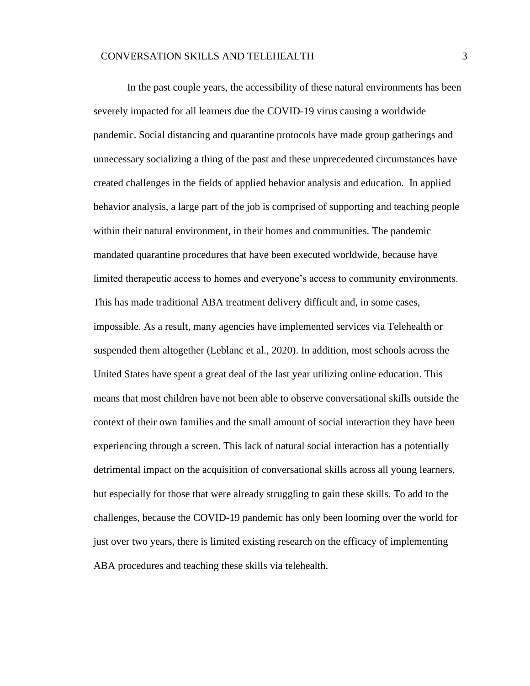In the past couple years, the accessibility of these natural environments has been severely impacted for all learners due the COVID-19 virus causing a worldwide pandemic. Social distancing and quarantine protocols have made group gatherings and unnecessary socializing a thing of the past and these unprecedented circumstances have created challenges in the fields of applied behavior analysis and education. In applied behavior analysis, a large part of the job is comprised of supporting and teaching people within their natural environment, in their homes and communities. The pandemic mandated quarantine procedures that have been executed worldwide, because have limited therapeutic access to homes and everyone's access to community environments. This has made traditional ABA treatment delivery difficult and, in some cases, impossible. As a result, many agencies have implemented services via Telehealth or suspended them altogether (Leblanc et al., 2020). In addition, most schools across the United States have spent a great deal of the last year utilizing online education. This means that most children have not been able to observe conversational skills outside the context of their own families and the small amount of social interaction they have been experiencing through a screen. This lack of natural social interaction has a potentially detrimental impact on the acquisition of conversational skills across all young learners, but especially for those that were already struggling to gain these skills. To add to the challenges, because the COVID-19 pandemic has only been looming over the world for just over two years, there is limited existing research on the efficacy of implementing ABA procedures and teaching these skills via telehealth.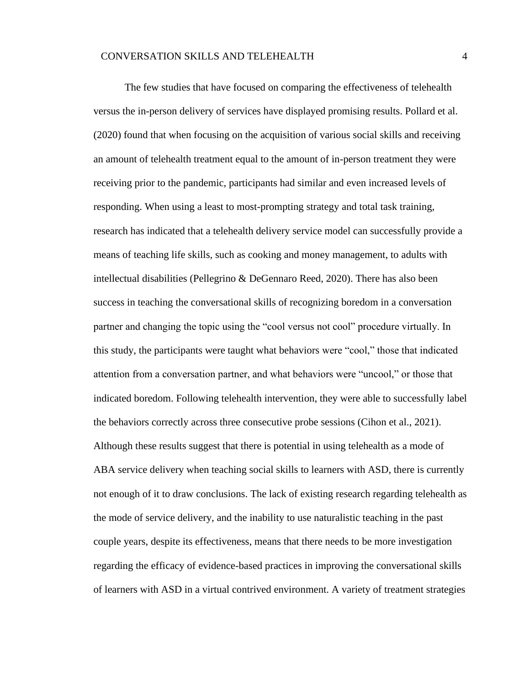The few studies that have focused on comparing the effectiveness of telehealth versus the in-person delivery of services have displayed promising results. Pollard et al. (2020) found that when focusing on the acquisition of various social skills and receiving an amount of telehealth treatment equal to the amount of in-person treatment they were receiving prior to the pandemic, participants had similar and even increased levels of responding. When using a least to most-prompting strategy and total task training, research has indicated that a telehealth delivery service model can successfully provide a means of teaching life skills, such as cooking and money management, to adults with intellectual disabilities (Pellegrino & DeGennaro Reed, 2020). There has also been success in teaching the conversational skills of recognizing boredom in a conversation partner and changing the topic using the "cool versus not cool" procedure virtually. In this study, the participants were taught what behaviors were "cool," those that indicated attention from a conversation partner, and what behaviors were "uncool," or those that indicated boredom. Following telehealth intervention, they were able to successfully label the behaviors correctly across three consecutive probe sessions (Cihon et al., 2021). Although these results suggest that there is potential in using telehealth as a mode of ABA service delivery when teaching social skills to learners with ASD, there is currently not enough of it to draw conclusions. The lack of existing research regarding telehealth as the mode of service delivery, and the inability to use naturalistic teaching in the past couple years, despite its effectiveness, means that there needs to be more investigation regarding the efficacy of evidence-based practices in improving the conversational skills of learners with ASD in a virtual contrived environment. A variety of treatment strategies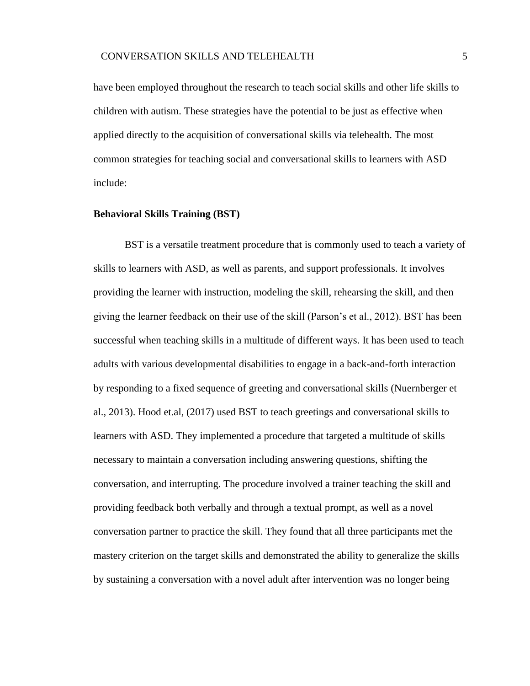have been employed throughout the research to teach social skills and other life skills to children with autism. These strategies have the potential to be just as effective when applied directly to the acquisition of conversational skills via telehealth. The most common strategies for teaching social and conversational skills to learners with ASD include:

#### <span id="page-8-0"></span>**Behavioral Skills Training (BST)**

BST is a versatile treatment procedure that is commonly used to teach a variety of skills to learners with ASD, as well as parents, and support professionals. It involves providing the learner with instruction, modeling the skill, rehearsing the skill, and then giving the learner feedback on their use of the skill (Parson's et al., 2012). BST has been successful when teaching skills in a multitude of different ways. It has been used to teach adults with various developmental disabilities to engage in a back-and-forth interaction by responding to a fixed sequence of greeting and conversational skills (Nuernberger et al., 2013). Hood et.al, (2017) used BST to teach greetings and conversational skills to learners with ASD. They implemented a procedure that targeted a multitude of skills necessary to maintain a conversation including answering questions, shifting the conversation, and interrupting. The procedure involved a trainer teaching the skill and providing feedback both verbally and through a textual prompt, as well as a novel conversation partner to practice the skill. They found that all three participants met the mastery criterion on the target skills and demonstrated the ability to generalize the skills by sustaining a conversation with a novel adult after intervention was no longer being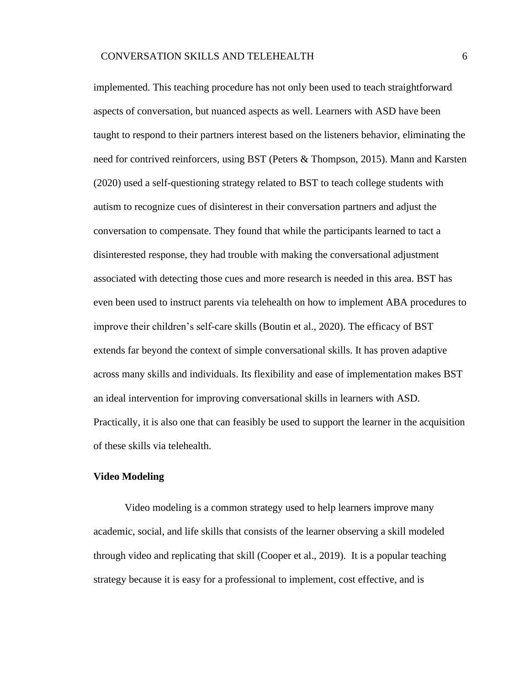implemented. This teaching procedure has not only been used to teach straightforward aspects of conversation, but nuanced aspects as well. Learners with ASD have been taught to respond to their partners interest based on the listeners behavior, eliminating the need for contrived reinforcers, using BST (Peters & Thompson, 2015). Mann and Karsten (2020) used a self-questioning strategy related to BST to teach college students with autism to recognize cues of disinterest in their conversation partners and adjust the conversation to compensate. They found that while the participants learned to tact a disinterested response, they had trouble with making the conversational adjustment associated with detecting those cues and more research is needed in this area. BST has even been used to instruct parents via telehealth on how to implement ABA procedures to improve their children's self-care skills (Boutin et al., 2020). The efficacy of BST extends far beyond the context of simple conversational skills. It has proven adaptive across many skills and individuals. Its flexibility and ease of implementation makes BST an ideal intervention for improving conversational skills in learners with ASD. Practically, it is also one that can feasibly be used to support the learner in the acquisition of these skills via telehealth.

### <span id="page-9-0"></span>**Video Modeling**

Video modeling is a common strategy used to help learners improve many academic, social, and life skills that consists of the learner observing a skill modeled through video and replicating that skill (Cooper et al., 2019). It is a popular teaching strategy because it is easy for a professional to implement, cost effective, and is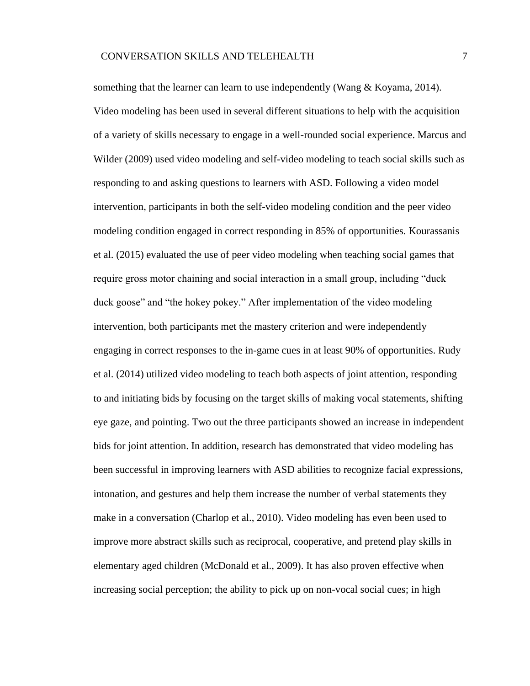something that the learner can learn to use independently (Wang & Koyama, 2014). Video modeling has been used in several different situations to help with the acquisition of a variety of skills necessary to engage in a well-rounded social experience. Marcus and Wilder (2009) used video modeling and self-video modeling to teach social skills such as responding to and asking questions to learners with ASD. Following a video model intervention, participants in both the self-video modeling condition and the peer video modeling condition engaged in correct responding in 85% of opportunities. Kourassanis et al. (2015) evaluated the use of peer video modeling when teaching social games that require gross motor chaining and social interaction in a small group, including "duck duck goose" and "the hokey pokey." After implementation of the video modeling intervention, both participants met the mastery criterion and were independently engaging in correct responses to the in-game cues in at least 90% of opportunities. Rudy et al. (2014) utilized video modeling to teach both aspects of joint attention, responding to and initiating bids by focusing on the target skills of making vocal statements, shifting eye gaze, and pointing. Two out the three participants showed an increase in independent bids for joint attention. In addition, research has demonstrated that video modeling has been successful in improving learners with ASD abilities to recognize facial expressions, intonation, and gestures and help them increase the number of verbal statements they make in a conversation (Charlop et al., 2010). Video modeling has even been used to improve more abstract skills such as reciprocal, cooperative, and pretend play skills in elementary aged children (McDonald et al., 2009). It has also proven effective when increasing social perception; the ability to pick up on non-vocal social cues; in high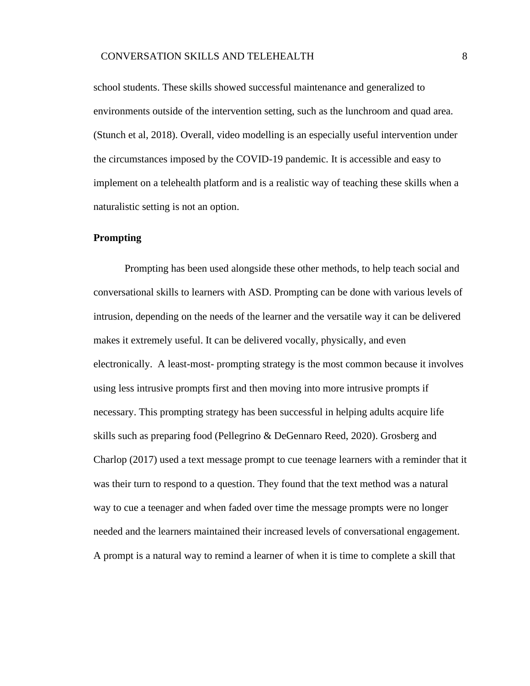school students. These skills showed successful maintenance and generalized to environments outside of the intervention setting, such as the lunchroom and quad area. (Stunch et al, 2018). Overall, video modelling is an especially useful intervention under the circumstances imposed by the COVID-19 pandemic. It is accessible and easy to implement on a telehealth platform and is a realistic way of teaching these skills when a naturalistic setting is not an option.

## <span id="page-11-0"></span>**Prompting**

Prompting has been used alongside these other methods, to help teach social and conversational skills to learners with ASD. Prompting can be done with various levels of intrusion, depending on the needs of the learner and the versatile way it can be delivered makes it extremely useful. It can be delivered vocally, physically, and even electronically. A least-most- prompting strategy is the most common because it involves using less intrusive prompts first and then moving into more intrusive prompts if necessary. This prompting strategy has been successful in helping adults acquire life skills such as preparing food (Pellegrino & DeGennaro Reed, 2020). Grosberg and Charlop (2017) used a text message prompt to cue teenage learners with a reminder that it was their turn to respond to a question. They found that the text method was a natural way to cue a teenager and when faded over time the message prompts were no longer needed and the learners maintained their increased levels of conversational engagement. A prompt is a natural way to remind a learner of when it is time to complete a skill that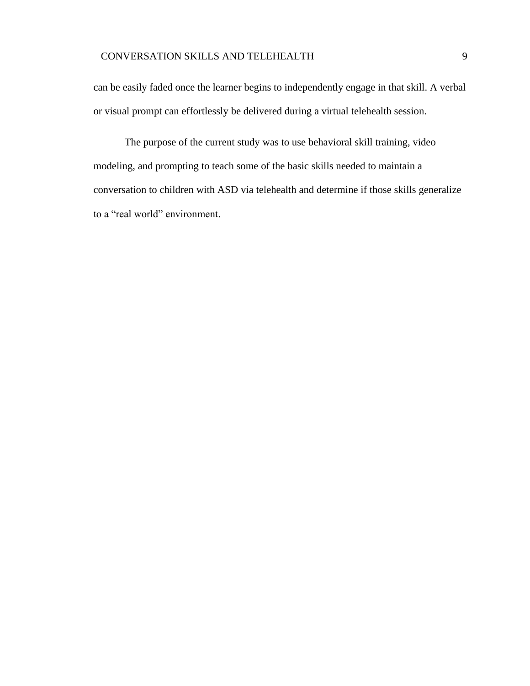## CONVERSATION SKILLS AND TELEHEALTH 9

can be easily faded once the learner begins to independently engage in that skill. A verbal or visual prompt can effortlessly be delivered during a virtual telehealth session.

<span id="page-12-0"></span>The purpose of the current study was to use behavioral skill training, video modeling, and prompting to teach some of the basic skills needed to maintain a conversation to children with ASD via telehealth and determine if those skills generalize to a "real world" environment.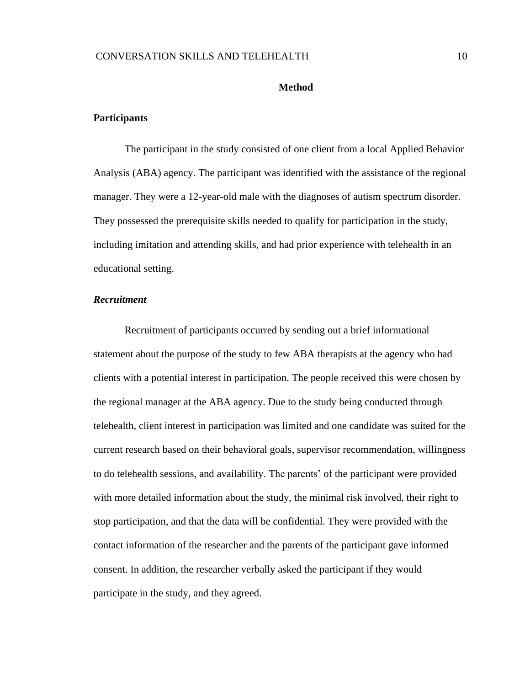#### **Method**

## <span id="page-13-0"></span>**Participants**

The participant in the study consisted of one client from a local Applied Behavior Analysis (ABA) agency. The participant was identified with the assistance of the regional manager. They were a 12-year-old male with the diagnoses of autism spectrum disorder. They possessed the prerequisite skills needed to qualify for participation in the study, including imitation and attending skills, and had prior experience with telehealth in an educational setting.

## <span id="page-13-1"></span>*Recruitment*

Recruitment of participants occurred by sending out a brief informational statement about the purpose of the study to few ABA therapists at the agency who had clients with a potential interest in participation. The people received this were chosen by the regional manager at the ABA agency. Due to the study being conducted through telehealth, client interest in participation was limited and one candidate was suited for the current research based on their behavioral goals, supervisor recommendation, willingness to do telehealth sessions, and availability. The parents' of the participant were provided with more detailed information about the study, the minimal risk involved, their right to stop participation, and that the data will be confidential. They were provided with the contact information of the researcher and the parents of the participant gave informed consent. In addition, the researcher verbally asked the participant if they would participate in the study, and they agreed.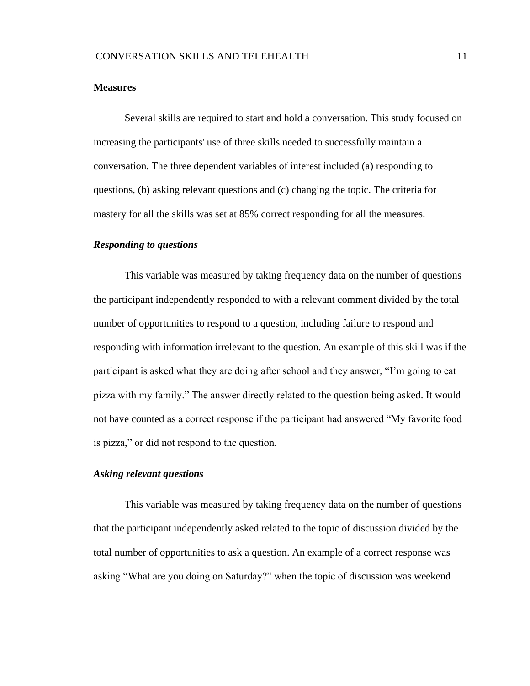## <span id="page-14-0"></span>**Measures**

Several skills are required to start and hold a conversation. This study focused on increasing the participants' use of three skills needed to successfully maintain a conversation. The three dependent variables of interest included (a) responding to questions, (b) asking relevant questions and (c) changing the topic. The criteria for mastery for all the skills was set at 85% correct responding for all the measures.

## <span id="page-14-1"></span>*Responding to questions*

This variable was measured by taking frequency data on the number of questions the participant independently responded to with a relevant comment divided by the total number of opportunities to respond to a question, including failure to respond and responding with information irrelevant to the question. An example of this skill was if the participant is asked what they are doing after school and they answer, "I'm going to eat pizza with my family." The answer directly related to the question being asked. It would not have counted as a correct response if the participant had answered "My favorite food is pizza," or did not respond to the question.

## <span id="page-14-2"></span>*Asking relevant questions*

This variable was measured by taking frequency data on the number of questions that the participant independently asked related to the topic of discussion divided by the total number of opportunities to ask a question. An example of a correct response was asking "What are you doing on Saturday?" when the topic of discussion was weekend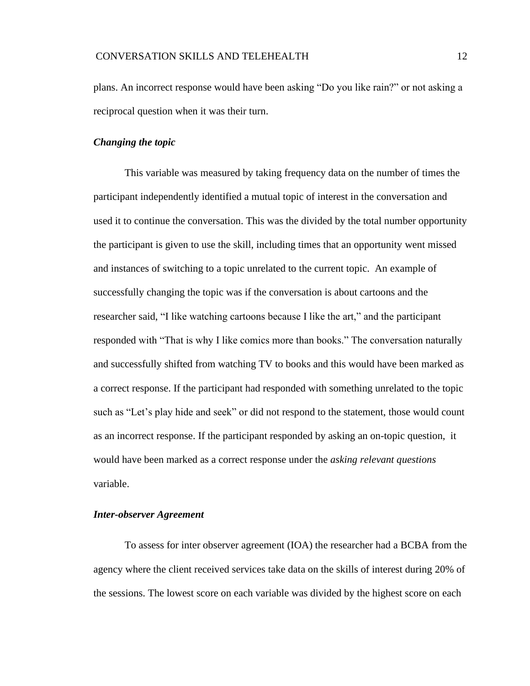plans. An incorrect response would have been asking "Do you like rain?" or not asking a reciprocal question when it was their turn.

## <span id="page-15-0"></span>*Changing the topic*

This variable was measured by taking frequency data on the number of times the participant independently identified a mutual topic of interest in the conversation and used it to continue the conversation. This was the divided by the total number opportunity the participant is given to use the skill, including times that an opportunity went missed and instances of switching to a topic unrelated to the current topic. An example of successfully changing the topic was if the conversation is about cartoons and the researcher said, "I like watching cartoons because I like the art," and the participant responded with "That is why I like comics more than books." The conversation naturally and successfully shifted from watching TV to books and this would have been marked as a correct response. If the participant had responded with something unrelated to the topic such as "Let's play hide and seek" or did not respond to the statement, those would count as an incorrect response. If the participant responded by asking an on-topic question, it would have been marked as a correct response under the *asking relevant questions* variable.

## <span id="page-15-1"></span>*Inter-observer Agreement*

To assess for inter observer agreement (IOA) the researcher had a BCBA from the agency where the client received services take data on the skills of interest during 20% of the sessions. The lowest score on each variable was divided by the highest score on each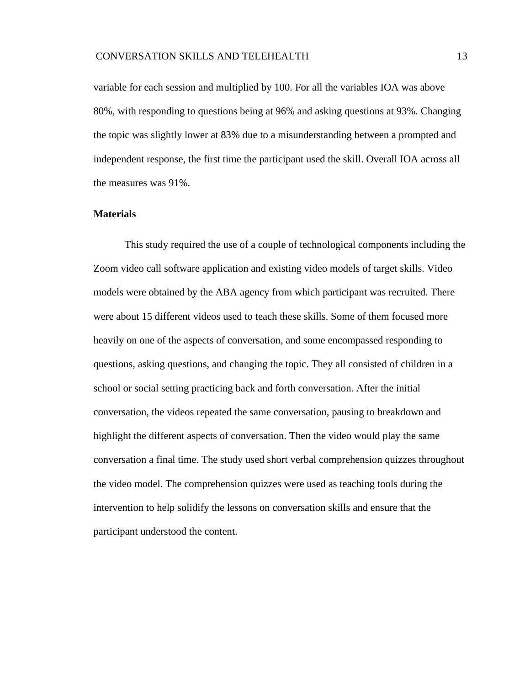variable for each session and multiplied by 100. For all the variables IOA was above 80%, with responding to questions being at 96% and asking questions at 93%. Changing the topic was slightly lower at 83% due to a misunderstanding between a prompted and independent response, the first time the participant used the skill. Overall IOA across all the measures was 91%.

## <span id="page-16-0"></span>**Materials**

This study required the use of a couple of technological components including the Zoom video call software application and existing video models of target skills. Video models were obtained by the ABA agency from which participant was recruited. There were about 15 different videos used to teach these skills. Some of them focused more heavily on one of the aspects of conversation, and some encompassed responding to questions, asking questions, and changing the topic. They all consisted of children in a school or social setting practicing back and forth conversation. After the initial conversation, the videos repeated the same conversation, pausing to breakdown and highlight the different aspects of conversation. Then the video would play the same conversation a final time. The study used short verbal comprehension quizzes throughout the video model. The comprehension quizzes were used as teaching tools during the intervention to help solidify the lessons on conversation skills and ensure that the participant understood the content.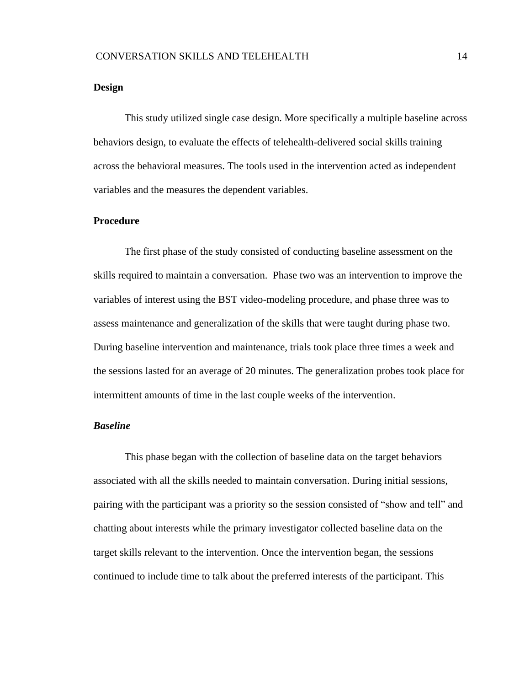## <span id="page-17-0"></span>**Design**

This study utilized single case design. More specifically a multiple baseline across behaviors design, to evaluate the effects of telehealth-delivered social skills training across the behavioral measures. The tools used in the intervention acted as independent variables and the measures the dependent variables.

## <span id="page-17-1"></span>**Procedure**

The first phase of the study consisted of conducting baseline assessment on the skills required to maintain a conversation. Phase two was an intervention to improve the variables of interest using the BST video-modeling procedure, and phase three was to assess maintenance and generalization of the skills that were taught during phase two. During baseline intervention and maintenance, trials took place three times a week and the sessions lasted for an average of 20 minutes. The generalization probes took place for intermittent amounts of time in the last couple weeks of the intervention.

## <span id="page-17-2"></span>*Baseline*

This phase began with the collection of baseline data on the target behaviors associated with all the skills needed to maintain conversation. During initial sessions, pairing with the participant was a priority so the session consisted of "show and tell" and chatting about interests while the primary investigator collected baseline data on the target skills relevant to the intervention. Once the intervention began, the sessions continued to include time to talk about the preferred interests of the participant. This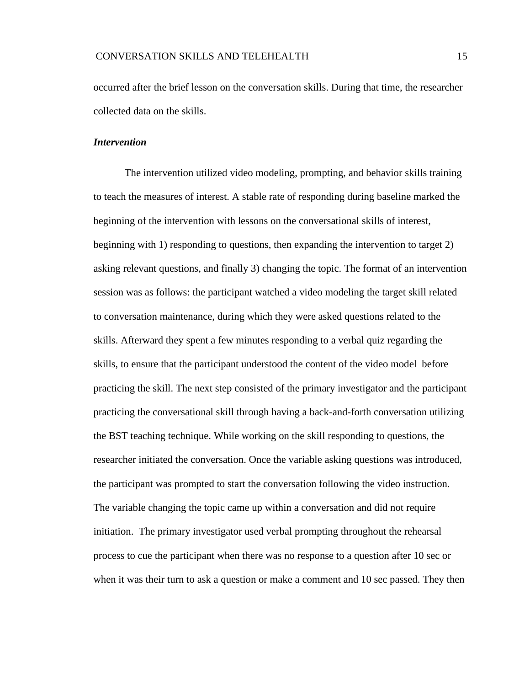occurred after the brief lesson on the conversation skills. During that time, the researcher collected data on the skills.

#### <span id="page-18-0"></span>*Intervention*

 The intervention utilized video modeling, prompting, and behavior skills training to teach the measures of interest. A stable rate of responding during baseline marked the beginning of the intervention with lessons on the conversational skills of interest, beginning with 1) responding to questions, then expanding the intervention to target 2) asking relevant questions, and finally 3) changing the topic. The format of an intervention session was as follows: the participant watched a video modeling the target skill related to conversation maintenance, during which they were asked questions related to the skills. Afterward they spent a few minutes responding to a verbal quiz regarding the skills, to ensure that the participant understood the content of the video model before practicing the skill. The next step consisted of the primary investigator and the participant practicing the conversational skill through having a back-and-forth conversation utilizing the BST teaching technique. While working on the skill responding to questions, the researcher initiated the conversation. Once the variable asking questions was introduced, the participant was prompted to start the conversation following the video instruction. The variable changing the topic came up within a conversation and did not require initiation. The primary investigator used verbal prompting throughout the rehearsal process to cue the participant when there was no response to a question after 10 sec or when it was their turn to ask a question or make a comment and 10 sec passed. They then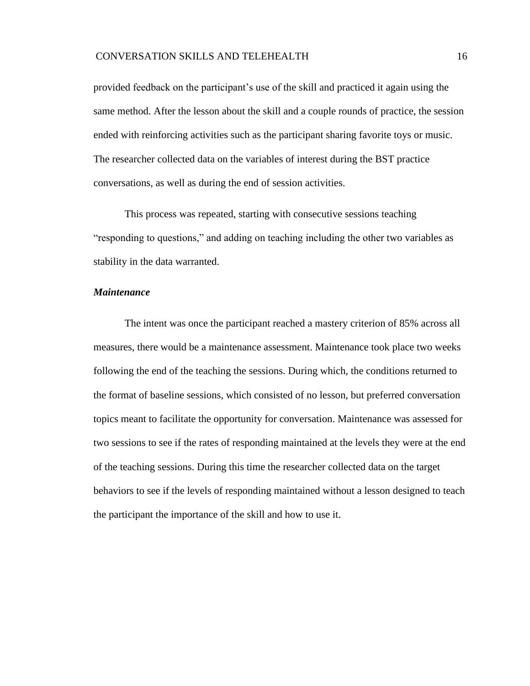## CONVERSATION SKILLS AND TELEHEALTH 16

provided feedback on the participant's use of the skill and practiced it again using the same method. After the lesson about the skill and a couple rounds of practice, the session ended with reinforcing activities such as the participant sharing favorite toys or music. The researcher collected data on the variables of interest during the BST practice conversations, as well as during the end of session activities.

This process was repeated, starting with consecutive sessions teaching "responding to questions," and adding on teaching including the other two variables as stability in the data warranted.

## <span id="page-19-0"></span>*Maintenance*

The intent was once the participant reached a mastery criterion of 85% across all measures, there would be a maintenance assessment. Maintenance took place two weeks following the end of the teaching the sessions. During which, the conditions returned to the format of baseline sessions, which consisted of no lesson, but preferred conversation topics meant to facilitate the opportunity for conversation. Maintenance was assessed for two sessions to see if the rates of responding maintained at the levels they were at the end of the teaching sessions. During this time the researcher collected data on the target behaviors to see if the levels of responding maintained without a lesson designed to teach the participant the importance of the skill and how to use it.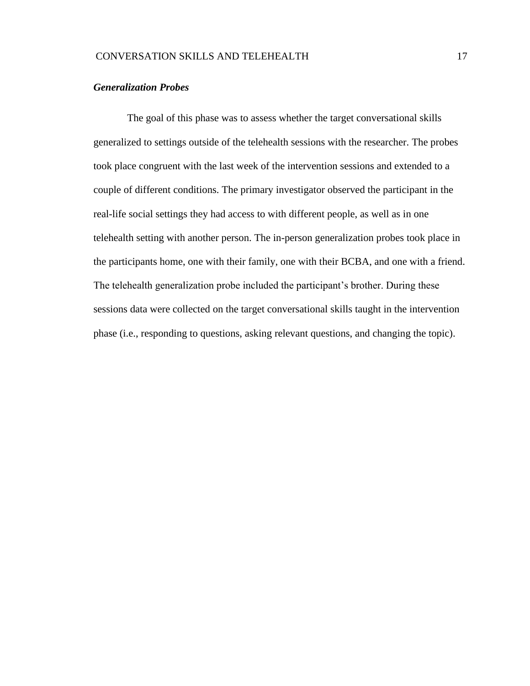## <span id="page-20-0"></span>*Generalization Probes*

<span id="page-20-1"></span>The goal of this phase was to assess whether the target conversational skills generalized to settings outside of the telehealth sessions with the researcher. The probes took place congruent with the last week of the intervention sessions and extended to a couple of different conditions. The primary investigator observed the participant in the real-life social settings they had access to with different people, as well as in one telehealth setting with another person. The in-person generalization probes took place in the participants home, one with their family, one with their BCBA, and one with a friend. The telehealth generalization probe included the participant's brother. During these sessions data were collected on the target conversational skills taught in the intervention phase (i.e., responding to questions, asking relevant questions, and changing the topic).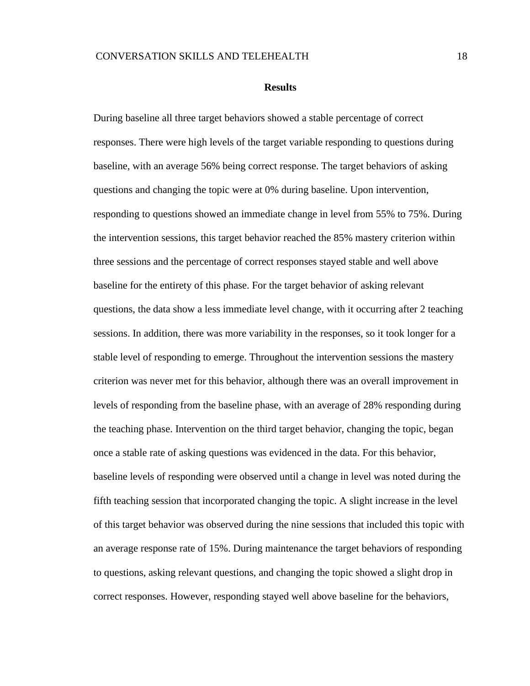#### **Results**

During baseline all three target behaviors showed a stable percentage of correct responses. There were high levels of the target variable responding to questions during baseline, with an average 56% being correct response. The target behaviors of asking questions and changing the topic were at 0% during baseline. Upon intervention, responding to questions showed an immediate change in level from 55% to 75%. During the intervention sessions, this target behavior reached the 85% mastery criterion within three sessions and the percentage of correct responses stayed stable and well above baseline for the entirety of this phase. For the target behavior of asking relevant questions, the data show a less immediate level change, with it occurring after 2 teaching sessions. In addition, there was more variability in the responses, so it took longer for a stable level of responding to emerge. Throughout the intervention sessions the mastery criterion was never met for this behavior, although there was an overall improvement in levels of responding from the baseline phase, with an average of 28% responding during the teaching phase. Intervention on the third target behavior, changing the topic, began once a stable rate of asking questions was evidenced in the data. For this behavior, baseline levels of responding were observed until a change in level was noted during the fifth teaching session that incorporated changing the topic. A slight increase in the level of this target behavior was observed during the nine sessions that included this topic with an average response rate of 15%. During maintenance the target behaviors of responding to questions, asking relevant questions, and changing the topic showed a slight drop in correct responses. However, responding stayed well above baseline for the behaviors,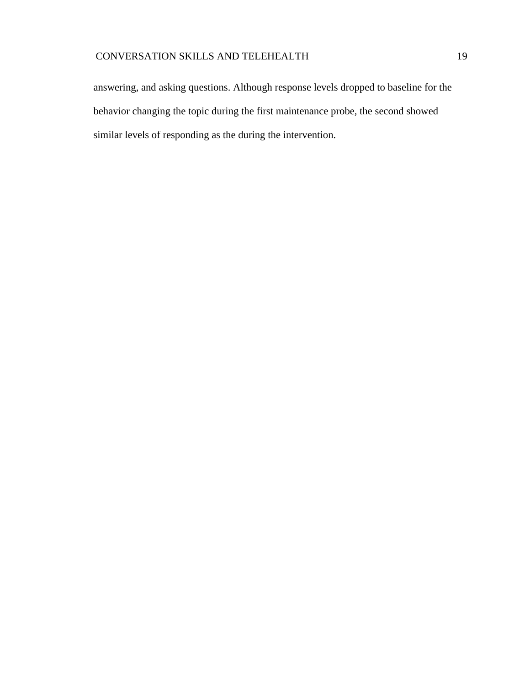## CONVERSATION SKILLS AND TELEHEALTH 19

answering, and asking questions. Although response levels dropped to baseline for the behavior changing the topic during the first maintenance probe, the second showed similar levels of responding as the during the intervention.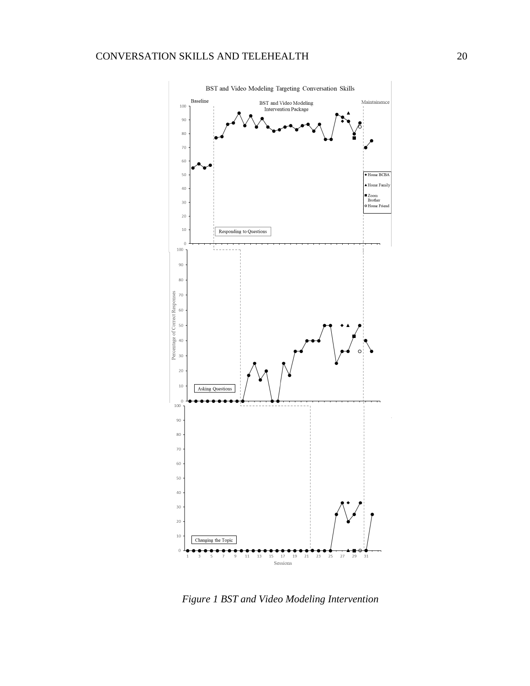

BST and Video Modeling Targeting Conversation Skills

<span id="page-23-0"></span>*Figure 1 BST and Video Modeling Intervention*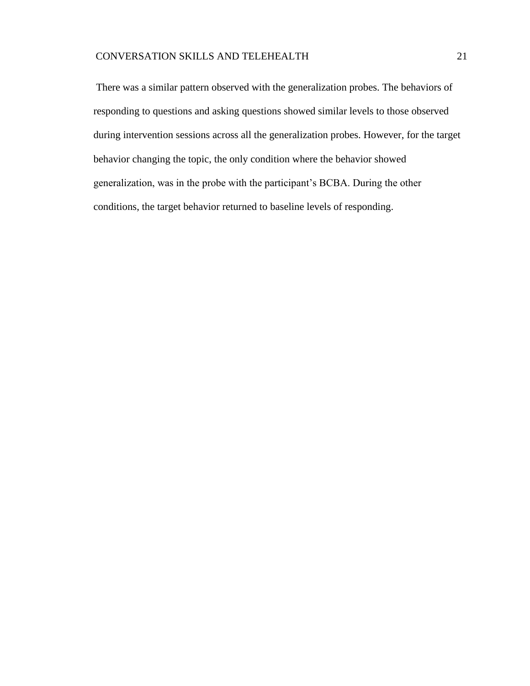<span id="page-24-0"></span>There was a similar pattern observed with the generalization probes. The behaviors of responding to questions and asking questions showed similar levels to those observed during intervention sessions across all the generalization probes. However, for the target behavior changing the topic, the only condition where the behavior showed generalization, was in the probe with the participant's BCBA. During the other conditions, the target behavior returned to baseline levels of responding.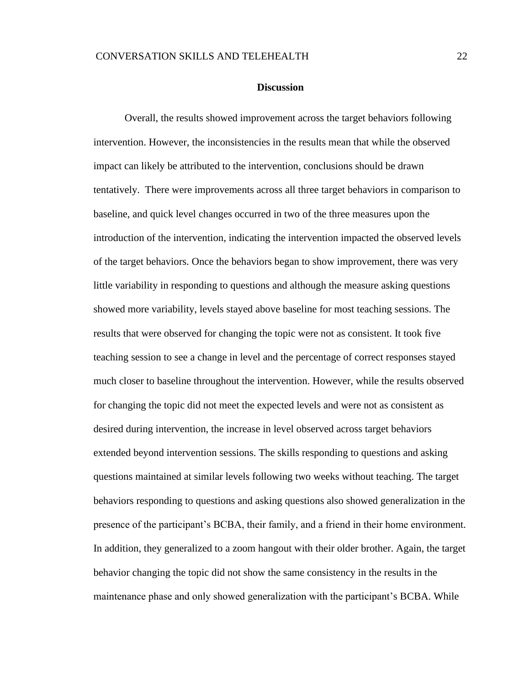#### **Discussion**

Overall, the results showed improvement across the target behaviors following intervention. However, the inconsistencies in the results mean that while the observed impact can likely be attributed to the intervention, conclusions should be drawn tentatively. There were improvements across all three target behaviors in comparison to baseline, and quick level changes occurred in two of the three measures upon the introduction of the intervention, indicating the intervention impacted the observed levels of the target behaviors. Once the behaviors began to show improvement, there was very little variability in responding to questions and although the measure asking questions showed more variability, levels stayed above baseline for most teaching sessions. The results that were observed for changing the topic were not as consistent. It took five teaching session to see a change in level and the percentage of correct responses stayed much closer to baseline throughout the intervention. However, while the results observed for changing the topic did not meet the expected levels and were not as consistent as desired during intervention, the increase in level observed across target behaviors extended beyond intervention sessions. The skills responding to questions and asking questions maintained at similar levels following two weeks without teaching. The target behaviors responding to questions and asking questions also showed generalization in the presence of the participant's BCBA, their family, and a friend in their home environment. In addition, they generalized to a zoom hangout with their older brother. Again, the target behavior changing the topic did not show the same consistency in the results in the maintenance phase and only showed generalization with the participant's BCBA. While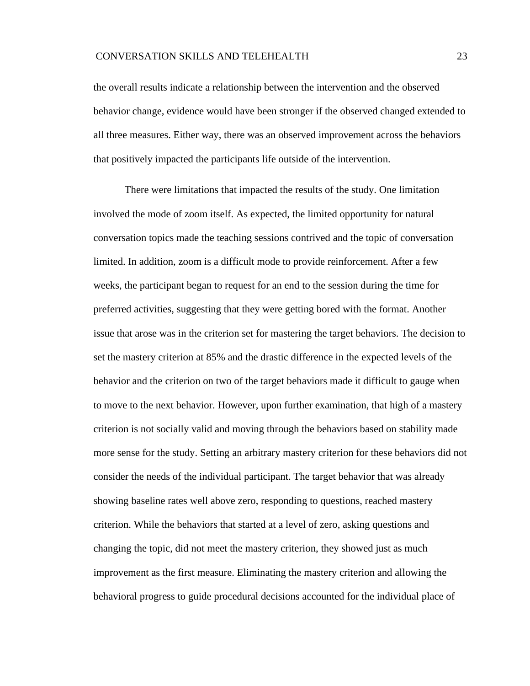## CONVERSATION SKILLS AND TELEHEALTH 23

the overall results indicate a relationship between the intervention and the observed behavior change, evidence would have been stronger if the observed changed extended to all three measures. Either way, there was an observed improvement across the behaviors that positively impacted the participants life outside of the intervention.

There were limitations that impacted the results of the study. One limitation involved the mode of zoom itself. As expected, the limited opportunity for natural conversation topics made the teaching sessions contrived and the topic of conversation limited. In addition, zoom is a difficult mode to provide reinforcement. After a few weeks, the participant began to request for an end to the session during the time for preferred activities, suggesting that they were getting bored with the format. Another issue that arose was in the criterion set for mastering the target behaviors. The decision to set the mastery criterion at 85% and the drastic difference in the expected levels of the behavior and the criterion on two of the target behaviors made it difficult to gauge when to move to the next behavior. However, upon further examination, that high of a mastery criterion is not socially valid and moving through the behaviors based on stability made more sense for the study. Setting an arbitrary mastery criterion for these behaviors did not consider the needs of the individual participant. The target behavior that was already showing baseline rates well above zero, responding to questions, reached mastery criterion. While the behaviors that started at a level of zero, asking questions and changing the topic, did not meet the mastery criterion, they showed just as much improvement as the first measure. Eliminating the mastery criterion and allowing the behavioral progress to guide procedural decisions accounted for the individual place of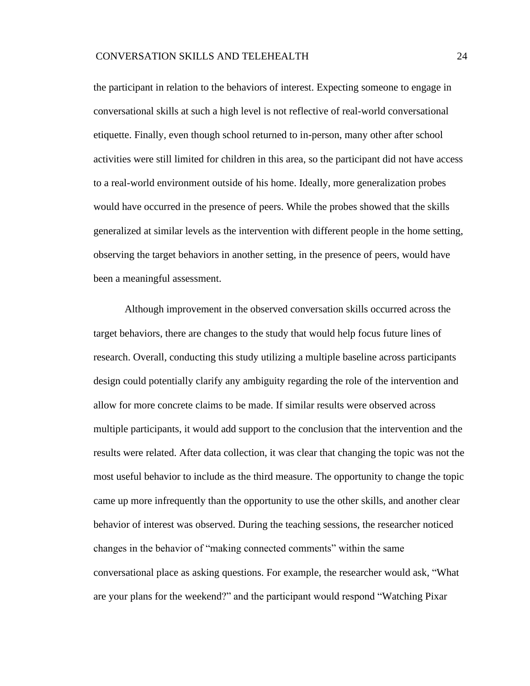the participant in relation to the behaviors of interest. Expecting someone to engage in conversational skills at such a high level is not reflective of real-world conversational etiquette. Finally, even though school returned to in-person, many other after school activities were still limited for children in this area, so the participant did not have access to a real-world environment outside of his home. Ideally, more generalization probes would have occurred in the presence of peers. While the probes showed that the skills generalized at similar levels as the intervention with different people in the home setting, observing the target behaviors in another setting, in the presence of peers, would have been a meaningful assessment.

Although improvement in the observed conversation skills occurred across the target behaviors, there are changes to the study that would help focus future lines of research. Overall, conducting this study utilizing a multiple baseline across participants design could potentially clarify any ambiguity regarding the role of the intervention and allow for more concrete claims to be made. If similar results were observed across multiple participants, it would add support to the conclusion that the intervention and the results were related. After data collection, it was clear that changing the topic was not the most useful behavior to include as the third measure. The opportunity to change the topic came up more infrequently than the opportunity to use the other skills, and another clear behavior of interest was observed. During the teaching sessions, the researcher noticed changes in the behavior of "making connected comments" within the same conversational place as asking questions. For example, the researcher would ask, "What are your plans for the weekend?" and the participant would respond "Watching Pixar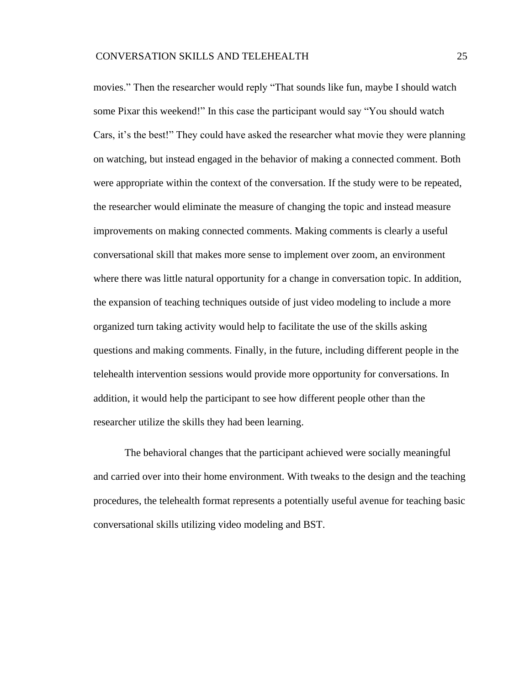movies." Then the researcher would reply "That sounds like fun, maybe I should watch some Pixar this weekend!" In this case the participant would say "You should watch Cars, it's the best!" They could have asked the researcher what movie they were planning on watching, but instead engaged in the behavior of making a connected comment. Both were appropriate within the context of the conversation. If the study were to be repeated, the researcher would eliminate the measure of changing the topic and instead measure improvements on making connected comments. Making comments is clearly a useful conversational skill that makes more sense to implement over zoom, an environment where there was little natural opportunity for a change in conversation topic. In addition, the expansion of teaching techniques outside of just video modeling to include a more organized turn taking activity would help to facilitate the use of the skills asking questions and making comments. Finally, in the future, including different people in the telehealth intervention sessions would provide more opportunity for conversations. In addition, it would help the participant to see how different people other than the researcher utilize the skills they had been learning.

<span id="page-28-0"></span>The behavioral changes that the participant achieved were socially meaningful and carried over into their home environment. With tweaks to the design and the teaching procedures, the telehealth format represents a potentially useful avenue for teaching basic conversational skills utilizing video modeling and BST.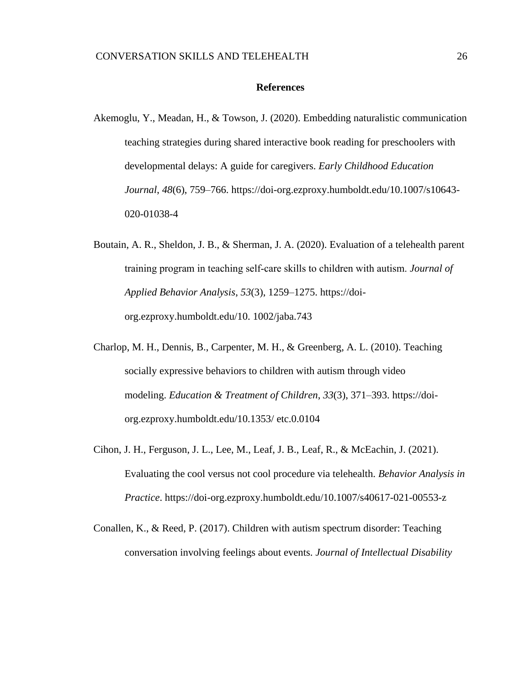#### **References**

- Akemoglu, Y., Meadan, H., & Towson, J. (2020). Embedding naturalistic communication teaching strategies during shared interactive book reading for preschoolers with developmental delays: A guide for caregivers. *Early Childhood Education Journal*, *48*(6), 759–766. [https://doi-org.ezproxy.humboldt.edu/10.1007/s10643-](https://doi-org.ezproxy.humboldt.edu/10.1007/s10643-020-01038-4) [020-01038-4](https://doi-org.ezproxy.humboldt.edu/10.1007/s10643-020-01038-4)
- Boutain, A. R., Sheldon, J. B., & Sherman, J. A. (2020). Evaluation of a telehealth parent training program in teaching self‐care skills to children with autism. *Journal of Applied Behavior Analysis*, *53*(3), 1259–1275. [https://doi](https://doi-org.ezproxy.humboldt.edu/10.%201002/jaba.743)[org.ezproxy.humboldt.edu/10. 1002/jaba.743](https://doi-org.ezproxy.humboldt.edu/10.%201002/jaba.743)
- Charlop, M. H., Dennis, B., Carpenter, M. H., & Greenberg, A. L. (2010). Teaching socially expressive behaviors to children with autism through video modeling. *Education & Treatment of Children*, *33*(3), 371–393. [https://doi](https://doi-org.ezproxy.humboldt.edu/10.1353/)[org.ezproxy.humboldt.edu/10.1353/](https://doi-org.ezproxy.humboldt.edu/10.1353/) etc.0.0104
- Cihon, J. H., Ferguson, J. L., Lee, M., Leaf, J. B., Leaf, R., & McEachin, J. (2021). Evaluating the cool versus not cool procedure via telehealth. *Behavior Analysis in Practice*. https://doi-org.ezproxy.humboldt.edu/10.1007/s40617-021-00553-z
- Conallen, K., & Reed, P. (2017). Children with autism spectrum disorder: Teaching conversation involving feelings about events. *Journal of Intellectual Disability*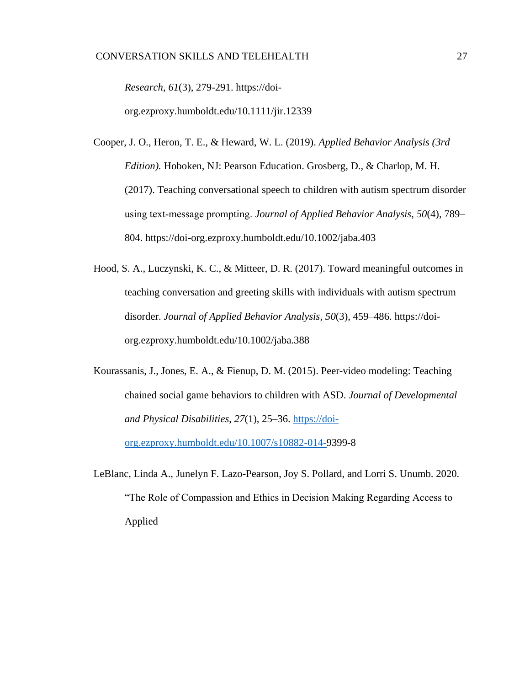*Research*, *61*(3), 279-291. [https://doi-](https://doi-org.ezproxy.humboldt.edu/10.1111/jir.12339)

[org.ezproxy.humboldt.edu/10.1111/jir.12339](https://doi-org.ezproxy.humboldt.edu/10.1111/jir.12339)

- Cooper, J. O., Heron, T. E., & Heward, W. L. (2019). *Applied Behavior Analysis (3rd Edition).* Hoboken, NJ: Pearson Education. Grosberg, D., & Charlop, M. H. (2017). Teaching conversational speech to children with autism spectrum disorder using text‐message prompting. *Journal of Applied Behavior Analysis*, *50*(4), 789– 804.<https://doi-org.ezproxy.humboldt.edu/10.1002/jaba.403>
- Hood, S. A., Luczynski, K. C., & Mitteer, D. R. (2017). Toward meaningful outcomes in teaching conversation and greeting skills with individuals with autism spectrum disorder. *Journal of Applied Behavior Analysis*, *50*(3), 459–486. [https://doi](https://doi-org.ezproxy.humboldt.edu/10.1002/jaba.388)[org.ezproxy.humboldt.edu/10.1002/jaba.388](https://doi-org.ezproxy.humboldt.edu/10.1002/jaba.388)
- Kourassanis, J., Jones, E. A., & Fienup, D. M. (2015). Peer-video modeling: Teaching chained social game behaviors to children with ASD. *Journal of Developmental and Physical Disabilities*, *27*(1), 25–36. [https://doi](https://doi-org.ezproxy.humboldt.edu/10.1007/s10882-014-)[org.ezproxy.humboldt.edu/10.1007/s10882-014-9](https://doi-org.ezproxy.humboldt.edu/10.1007/s10882-014-)399-8
- LeBlanc, Linda A., Junelyn F. Lazo-Pearson, Joy S. Pollard, and Lorri S. Unumb. 2020. "The Role of Compassion and Ethics in Decision Making Regarding Access to Applied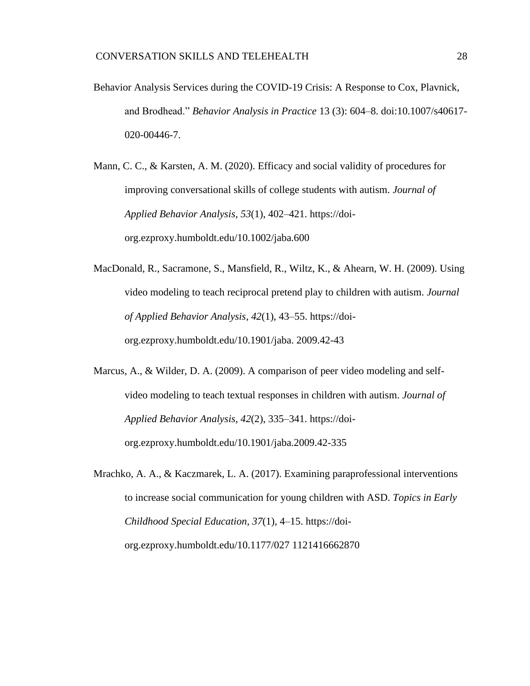Behavior Analysis Services during the COVID-19 Crisis: A Response to Cox, Plavnick, and Brodhead." *Behavior Analysis in Practice* 13 (3): 604–8. doi:10.1007/s40617- 020-00446-7.

Mann, C. C., & Karsten, A. M. (2020). Efficacy and social validity of procedures for improving conversational skills of college students with autism. *Journal of Applied Behavior Analysis*, *53*(1), 402–421. [https://doi](https://doi-org.ezproxy.humboldt.edu/10.1002/jaba.600)[org.ezproxy.humboldt.edu/10.1002/jaba.600](https://doi-org.ezproxy.humboldt.edu/10.1002/jaba.600)

- MacDonald, R., Sacramone, S., Mansfield, R., Wiltz, K., & Ahearn, W. H. (2009). Using video modeling to teach reciprocal pretend play to children with autism. *Journal of Applied Behavior Analysis*, *42*(1), 43–55. [https://doi](https://doi-org.ezproxy.humboldt.edu/10.1901/jaba)[org.ezproxy.humboldt.edu/10.1901/jaba.](https://doi-org.ezproxy.humboldt.edu/10.1901/jaba) 2009.42-43
- Marcus, A., & Wilder, D. A. (2009). A comparison of peer video modeling and selfvideo modeling to teach textual responses in children with autism. *Journal of Applied Behavior Analysis*, *42*(2), 335–341. [https://doi](https://doi-org.ezproxy.humboldt.edu/10.1901/jaba.2009.42-335)[org.ezproxy.humboldt.edu/10.1901/jaba.2009.42-335](https://doi-org.ezproxy.humboldt.edu/10.1901/jaba.2009.42-335)
- Mrachko, A. A., & Kaczmarek, L. A. (2017). Examining paraprofessional interventions to increase social communication for young children with ASD. *Topics in Early Childhood Special Education*, *37*(1), 4–15. [https://doi](https://doi-org.ezproxy.humboldt.edu/10.1177/027%201121416662870)[org.ezproxy.humboldt.edu/10.1177/027 1121416662870](https://doi-org.ezproxy.humboldt.edu/10.1177/027%201121416662870)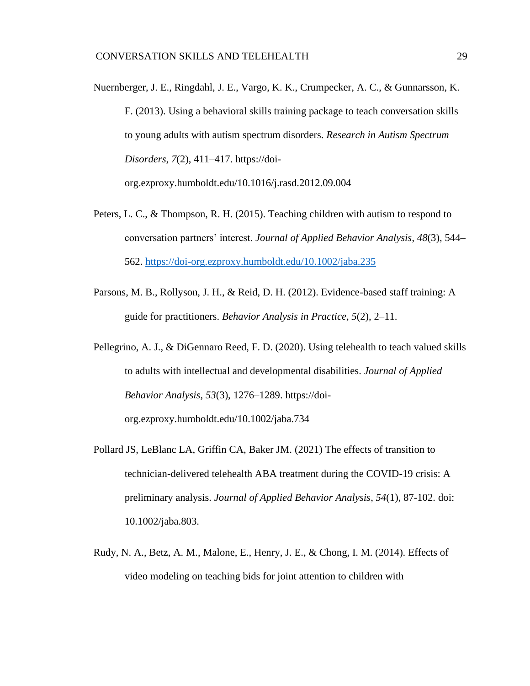Nuernberger, J. E., Ringdahl, J. E., Vargo, K. K., Crumpecker, A. C., & Gunnarsson, K. F. (2013). Using a behavioral skills training package to teach conversation skills to young adults with autism spectrum disorders. *Research in Autism Spectrum Disorders*, *7*(2), 411–417. https://doi-

org.ezproxy.humboldt.edu/10.1016/j.rasd.2012.09.004

- Peters, L. C., & Thompson, R. H. (2015). Teaching children with autism to respond to conversation partners' interest. *Journal of Applied Behavior Analysis*, *48*(3), 544– 562.<https://doi-org.ezproxy.humboldt.edu/10.1002/jaba.235>
- Parsons, M. B., Rollyson, J. H., & Reid, D. H. (2012). Evidence-based staff training: A guide for practitioners. *Behavior Analysis in Practice*, *5*(2), 2–11.
- Pellegrino, A. J., & DiGennaro Reed, F. D. (2020). Using telehealth to teach valued skills to adults with intellectual and developmental disabilities. *Journal of Applied Behavior Analysis*, *53*(3), 1276–1289. https://doiorg.ezproxy.humboldt.edu/10.1002/jaba.734
- Pollard JS, LeBlanc LA, Griffin CA, Baker JM. (2021) The effects of transition to technician-delivered telehealth ABA treatment during the COVID-19 crisis: A preliminary analysis. *Journal of Applied Behavior Analysis*, *54*(1), 87-102. doi: 10.1002/jaba.803.
- Rudy, N. A., Betz, A. M., Malone, E., Henry, J. E., & Chong, I. M. (2014). Effects of video modeling on teaching bids for joint attention to children with